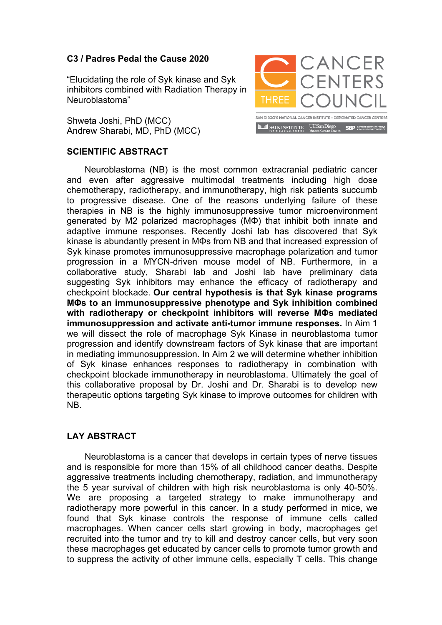## **C3 / Padres Pedal the Cause 2020**

"Elucidating the role of Syk kinase and Syk inhibitors combined with Radiation Therapy in Neuroblastoma"

Shweta Joshi, PhD (MCC) Andrew Sharabi, MD, PhD (MCC)

## CANCER **CENTERS THREE** -<br>SAN DIEGO'S NATIONAL CANCER INSTITUTE – DESIGNATED CANCER CENTERS **ID ID SALK INSTITUTE** UCSan Diego **SBP** Senford Burnham

## **SCIENTIFIC ABSTRACT**

Neuroblastoma (NB) is the most common extracranial pediatric cancer and even after aggressive multimodal treatments including high dose chemotherapy, radiotherapy, and immunotherapy, high risk patients succumb to progressive disease. One of the reasons underlying failure of these therapies in NB is the highly immunosuppressive tumor microenvironment generated by M2 polarized macrophages (MΦ) that inhibit both innate and adaptive immune responses. Recently Joshi lab has discovered that Syk kinase is abundantly present in MΦs from NB and that increased expression of Syk kinase promotes immunosuppressive macrophage polarization and tumor progression in a MYCN-driven mouse model of NB. Furthermore, in a collaborative study, Sharabi lab and Joshi lab have preliminary data suggesting Syk inhibitors may enhance the efficacy of radiotherapy and checkpoint blockade. **Our central hypothesis is that Syk kinase programs MΦs to an immunosuppressive phenotype and Syk inhibition combined with radiotherapy or checkpoint inhibitors will reverse MΦs mediated immunosuppression and activate anti-tumor immune responses.** In Aim 1 we will dissect the role of macrophage Syk Kinase in neuroblastoma tumor progression and identify downstream factors of Syk kinase that are important in mediating immunosuppression. In Aim 2 we will determine whether inhibition of Syk kinase enhances responses to radiotherapy in combination with checkpoint blockade immunotherapy in neuroblastoma. Ultimately the goal of this collaborative proposal by Dr. Joshi and Dr. Sharabi is to develop new therapeutic options targeting Syk kinase to improve outcomes for children with NB.

## **LAY ABSTRACT**

Neuroblastoma is a cancer that develops in certain types of nerve tissues and is responsible for more than 15% of all childhood cancer deaths. Despite aggressive treatments including chemotherapy, radiation, and immunotherapy the 5 year survival of children with high risk neuroblastoma is only 40-50%. We are proposing a targeted strategy to make immunotherapy and radiotherapy more powerful in this cancer. In a study performed in mice, we found that Syk kinase controls the response of immune cells called macrophages. When cancer cells start growing in body, macrophages get recruited into the tumor and try to kill and destroy cancer cells, but very soon these macrophages get educated by cancer cells to promote tumor growth and to suppress the activity of other immune cells, especially T cells. This change